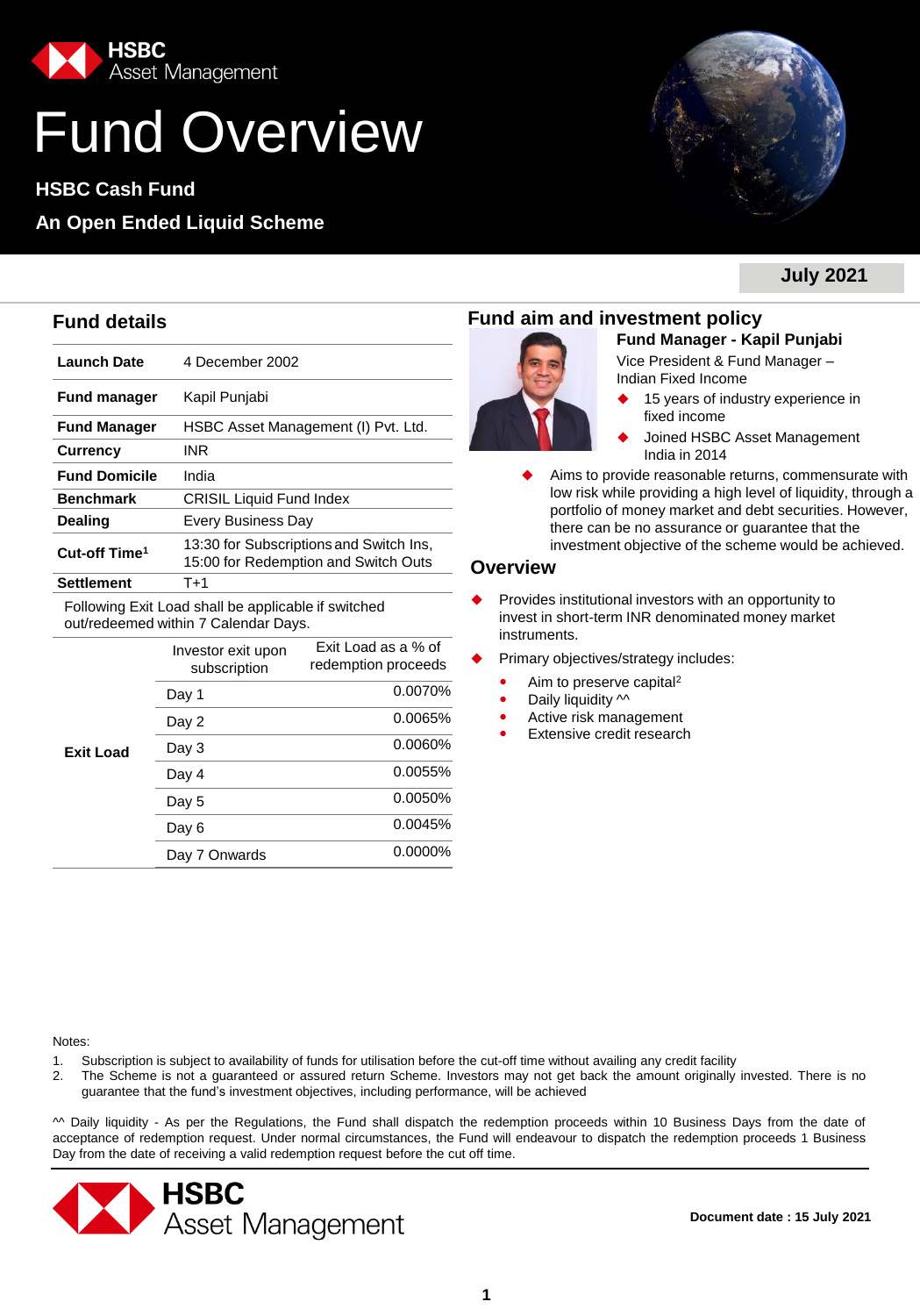

# Fund Overview

**HSBC Cash Fund**

## **An Open Ended Liquid Scheme**



**July 2021**

| <b>Launch Date</b>                                                                          | 4 December 2002                                                                  |  |  |  |  |  |  |
|---------------------------------------------------------------------------------------------|----------------------------------------------------------------------------------|--|--|--|--|--|--|
| <b>Fund manager</b>                                                                         | Kapil Punjabi                                                                    |  |  |  |  |  |  |
| <b>Fund Manager</b>                                                                         | HSBC Asset Management (I) Pvt. Ltd.                                              |  |  |  |  |  |  |
| <b>Currency</b>                                                                             | <b>INR</b>                                                                       |  |  |  |  |  |  |
| <b>Fund Domicile</b>                                                                        | India                                                                            |  |  |  |  |  |  |
| <b>Benchmark</b>                                                                            | <b>CRISIL Liquid Fund Index</b>                                                  |  |  |  |  |  |  |
| Dealing                                                                                     | <b>Every Business Day</b>                                                        |  |  |  |  |  |  |
| Cut-off Time <sup>1</sup>                                                                   | 13:30 for Subscriptions and Switch Ins,<br>15:00 for Redemption and Switch Outs  |  |  |  |  |  |  |
| <b>Settlement</b>                                                                           | $T+1$                                                                            |  |  |  |  |  |  |
| Following Exit Load shall be applicable if switched<br>out/redeemed within 7 Calendar Days. |                                                                                  |  |  |  |  |  |  |
|                                                                                             | Exit Load as a % of<br>Investor exit upon<br>redemption proceeds<br>subscription |  |  |  |  |  |  |

|                  | subscription  | Tegeription proceeds |
|------------------|---------------|----------------------|
| <b>Exit Load</b> | Day 1         | 0.0070%              |
|                  | Day 2         | 0.0065%              |
|                  | Day 3         | 0.0060%              |
|                  | Day 4         | 0.0055%              |
|                  | Day 5         | 0.0050%              |
|                  | Day 6         | 0.0045%              |
|                  | Day 7 Onwards | 0.0000%              |

## **Fund details Fund aim and investment policy**



**Fund Manager - Kapil Punjabi** 

Vice President & Fund Manager – Indian Fixed Income

- 15 years of industry experience in fixed income
- Joined HSBC Asset Management India in 2014

 Aims to provide reasonable returns, commensurate with low risk while providing a high level of liquidity, through a portfolio of money market and debt securities. However, there can be no assurance or guarantee that the investment objective of the scheme would be achieved.

## **Overview**

- Provides institutional investors with an opportunity to invest in short-term INR denominated money market instruments.
- Primary objectives/strategy includes:
	- Aim to preserve capital<sup>2</sup>
	- Daily liquidity  $\sim$
	- Active risk management
	- Extensive credit research

Notes:

- 1. Subscription is subject to availability of funds for utilisation before the cut-off time without availing any credit facility
- 2. The Scheme is not a guaranteed or assured return Scheme. Investors may not get back the amount originally invested. There is no guarantee that the fund's investment objectives, including performance, will be achieved

^^ Daily liquidity - As per the Regulations, the Fund shall dispatch the redemption proceeds within 10 Business Days from the date of acceptance of redemption request. Under normal circumstances, the Fund will endeavour to dispatch the redemption proceeds 1 Business Day from the date of receiving a valid redemption request before the cut off time.

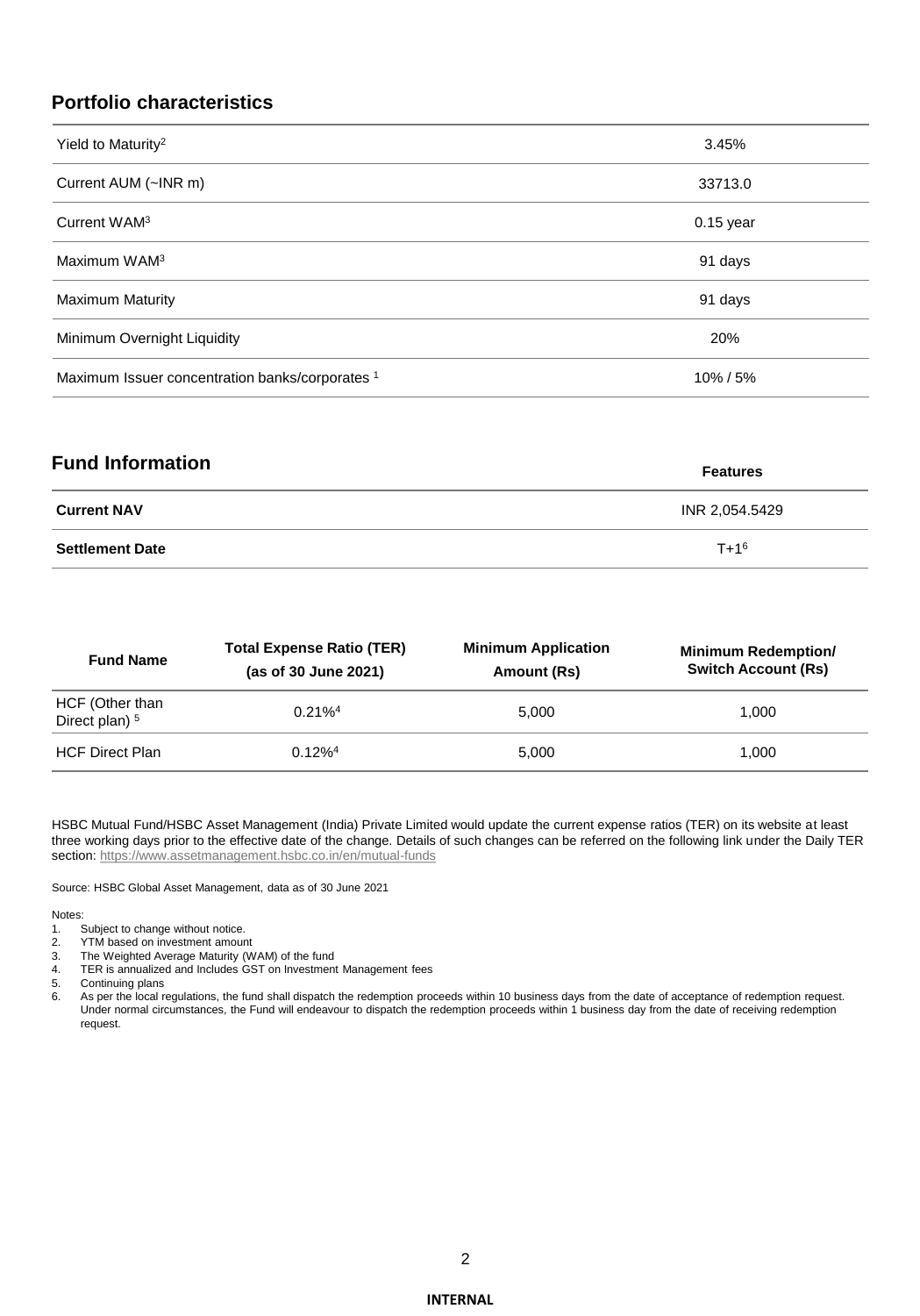## **Portfolio characteristics**

| Yield to Maturity <sup>2</sup>                  | 3.45%       |
|-------------------------------------------------|-------------|
| Current AUM (~INR m)                            | 33713.0     |
| Current WAM <sup>3</sup>                        | $0.15$ year |
| Maximum WAM <sup>3</sup>                        | 91 days     |
| <b>Maximum Maturity</b>                         | 91 days     |
| Minimum Overnight Liquidity                     | 20%         |
| Maximum Issuer concentration banks/corporates 1 | 10%/5%      |

| <b>Fund Information</b> | <b>Features</b> |
|-------------------------|-----------------|
| <b>Current NAV</b>      | INR 2.054.5429  |
| <b>Settlement Date</b>  | $T + 1^6$       |

| <b>Fund Name</b>                             | <b>Total Expense Ratio (TER)</b><br>(as of 30 June 2021) | <b>Minimum Application</b><br>Amount (Rs) | <b>Minimum Redemption/</b><br><b>Switch Account (Rs)</b> |  |  |  |
|----------------------------------------------|----------------------------------------------------------|-------------------------------------------|----------------------------------------------------------|--|--|--|
| HCF (Other than<br>Direct plan) <sup>5</sup> | $0.21\%$ <sup>4</sup>                                    | 5.000                                     | 1.000                                                    |  |  |  |
| <b>HCF Direct Plan</b>                       | $0.12\%$ <sup>4</sup>                                    | 5.000                                     | 1.000                                                    |  |  |  |

HSBC Mutual Fund/HSBC Asset Management (India) Private Limited would update the current expense ratios (TER) on its website at least three working days prior to the effective date of the change. Details of such changes can be referred on the following link under the Daily TER section:<https://www.assetmanagement.hsbc.co.in/en/mutual-funds>

Source: HSBC Global Asset Management, data as of 30 June 2021

#### Notes:

- 1. Subject to change without notice.
- 2. YTM based on investment amount<br>3. The Weighted Average Maturity (W
- 3. The Weighted Average Maturity (WAM) of the fund<br>4. TER is annualized and Includes GST on Investment 4. TER is annualized and Includes GST on Investment Management fees<br>5. Continuing plans
- 
- 5. Continuing plans<br>6. As per the local re As per the local regulations, the fund shall dispatch the redemption proceeds within 10 business days from the date of acceptance of redemption request. Under normal circumstances, the Fund will endeavour to dispatch the redemption proceeds within 1 business day from the date of receiving redemption request.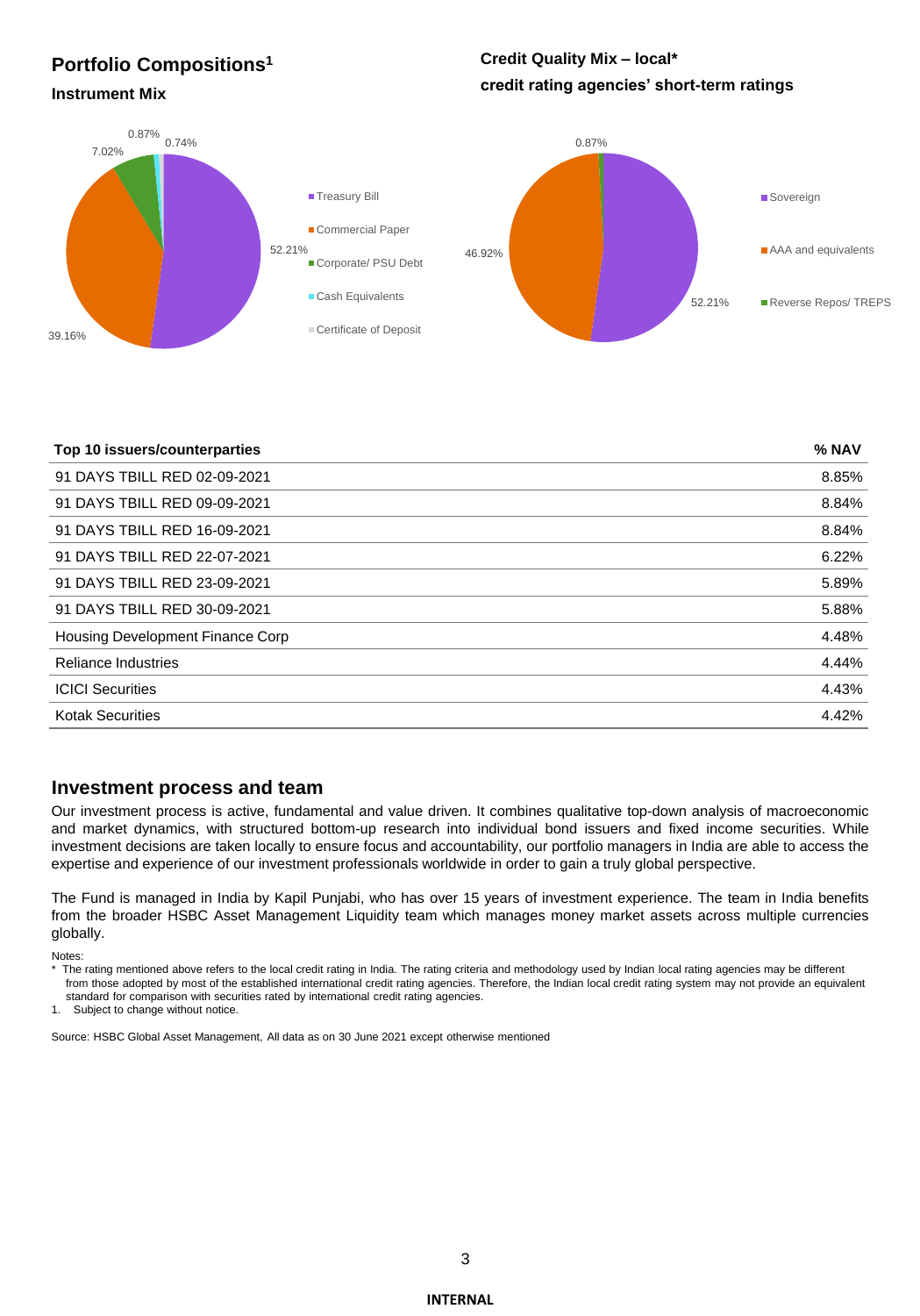## **Portfolio Compositions<sup>1</sup>**

## **Credit Quality Mix – local\* credit rating agencies' short-term ratings Instrument Mix**

#### 52.21% 39.16% 7.02% 0.87% 0.74% **Treasury Bill** Commercial Paper Corporate/ PSU Debt ■ Cash Equivalents Certificate of Deposit 52.21% 46.92% 0.87% **Sovereign AAA** and equivalents Reverse Repos/ TREPS

| Top 10 issuers/counterparties    | % NAV |
|----------------------------------|-------|
| 91 DAYS TBILL RED 02-09-2021     | 8.85% |
| 91 DAYS TBILL RED 09-09-2021     | 8.84% |
| 91 DAYS TBILL RED 16-09-2021     | 8.84% |
| 91 DAYS TBILL RED 22-07-2021     | 6.22% |
| 91 DAYS TBILL RED 23-09-2021     | 5.89% |
| 91 DAYS TBILL RED 30-09-2021     | 5.88% |
| Housing Development Finance Corp | 4.48% |
| <b>Reliance Industries</b>       | 4.44% |
| <b>ICICI Securities</b>          | 4.43% |
| <b>Kotak Securities</b>          | 4.42% |

## **Investment process and team**

Our investment process is active, fundamental and value driven. It combines qualitative top-down analysis of macroeconomic and market dynamics, with structured bottom-up research into individual bond issuers and fixed income securities. While investment decisions are taken locally to ensure focus and accountability, our portfolio managers in India are able to access the expertise and experience of our investment professionals worldwide in order to gain a truly global perspective.

The Fund is managed in India by Kapil Punjabi, who has over 15 years of investment experience. The team in India benefits from the broader HSBC Asset Management Liquidity team which manages money market assets across multiple currencies globally.

#### Notes:

\* The rating mentioned above refers to the local credit rating in India. The rating criteria and methodology used by Indian local rating agencies may be different from those adopted by most of the established international credit rating agencies. Therefore, the Indian local credit rating system may not provide an equivalent standard for comparison with securities rated by international credit rating agencies.

1. Subject to change without notice.

Source: HSBC Global Asset Management, All data as on 30 June 2021 except otherwise mentioned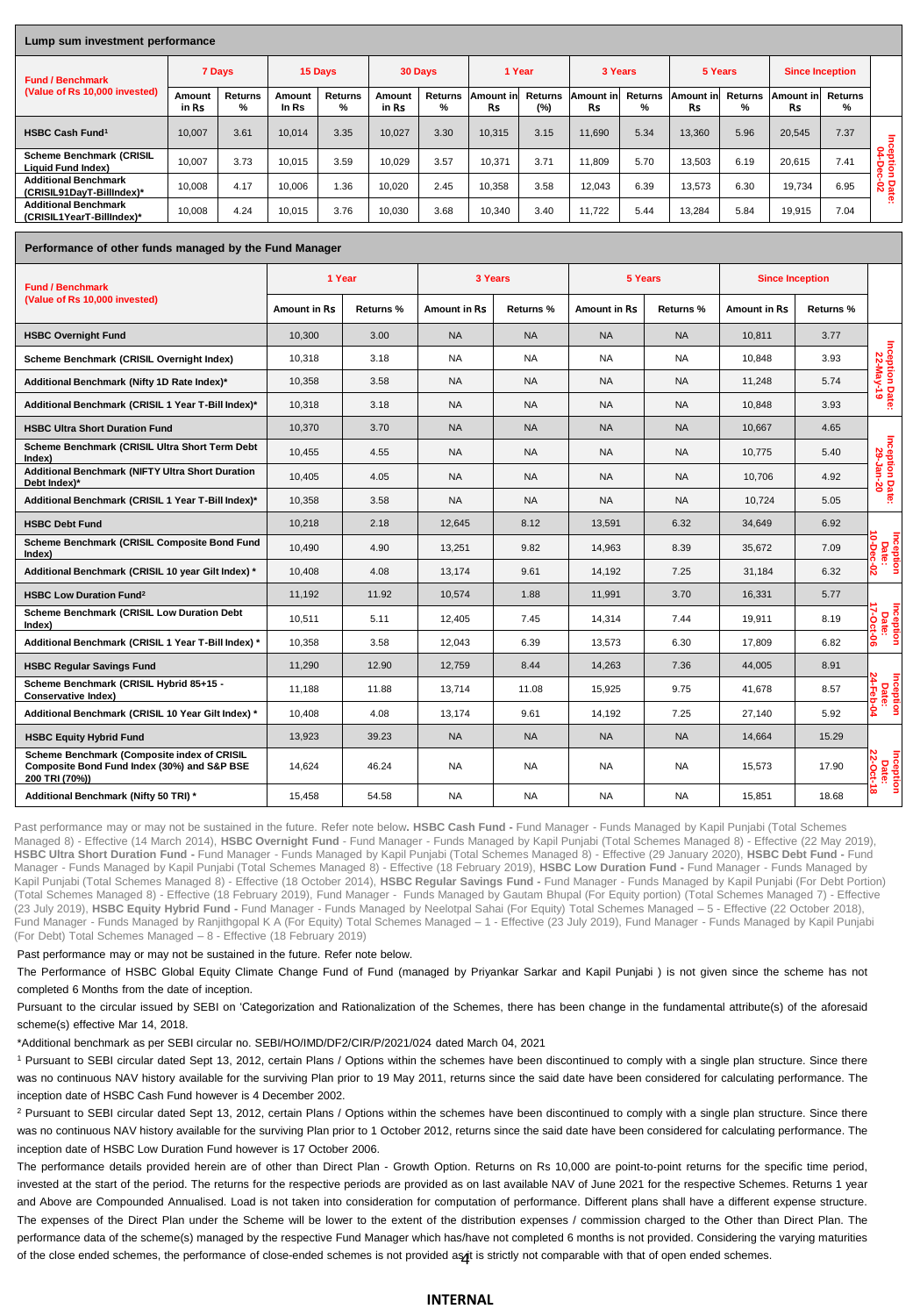#### **Lump sum investment performance**

| Lumb sum investment berformance                              |                 |                     |                 |              |                 |                     |                 |                       |                 |                     |                        |                     |                        |                     |              |
|--------------------------------------------------------------|-----------------|---------------------|-----------------|--------------|-----------------|---------------------|-----------------|-----------------------|-----------------|---------------------|------------------------|---------------------|------------------------|---------------------|--------------|
| <b>Fund / Benchmark</b>                                      | 7 Days          |                     | 15 Days         |              | 30 Days         |                     | 1 Year          |                       | 3 Years         |                     | 5 Years                |                     | <b>Since Inception</b> |                     |              |
| (Value of Rs 10,000 invested)                                | Amount<br>in Rs | <b>Returns</b><br>% | Amount<br>In Rs | Returns<br>% | Amount<br>in Rs | <b>Returns</b><br>% | Amount in<br>Rs | <b>Returns</b><br>(%) | Amount in<br>Rs | <b>Returns</b><br>% | Amount in<br><b>Rs</b> | <b>Returns</b><br>% | Amount in<br>Rs        | <b>Returns</b><br>% |              |
| <b>HSBC Cash Fund<sup>1</sup></b>                            | 10.007          | 3.61                | 10.014          | 3.35         | 10.027          | 3.30                | 10.315          | 3.15                  | 11.690          | 5.34                | 13,360                 | 5.96                | 20.545                 | 7.37                |              |
| <b>Scheme Benchmark (CRISIL</b><br><b>Liquid Fund Index)</b> | 10.007          | 3.73                | 10.015          | 3.59         | 10.029          | 3.57                | 10,371          | 3.71                  | 11.809          | 5.70                | 13.503                 | 6.19                | 20.615                 | 7.41                | C+10<br>O4-1 |
| <b>Additional Benchmark</b><br>(CRISIL91DavT-BillIndex)*     | 10.008          | 4.17                | 10.006          | 1.36         | 10.020          | 2.45                | 10.358          | 3.58                  | 12.043          | 6.39                | 13.573                 | 6.30                | 19.734                 | 6.95                | នី និ<br>œ   |
| <b>Additional Benchmark</b><br>(CRISIL1YearT-BillIndex)*     | 10,008          | 4.24                | 10.015          | 3.76         | 10.030          | 3.68                | 10,340          | 3.40                  | 11.722          | 5.44                | 13,284                 | 5.84                | 19,915                 | 7.04                | . .          |

#### **Performance of other funds managed by the Fund Manager**

| <b>Fund / Benchmark</b>                                                                                      | 1 Year              |           | 3 Years             |           | 5 Years      |                  | <b>Since Inception</b> |                  |                                 |  |
|--------------------------------------------------------------------------------------------------------------|---------------------|-----------|---------------------|-----------|--------------|------------------|------------------------|------------------|---------------------------------|--|
| (Value of Rs 10,000 invested)                                                                                | <b>Amount in Rs</b> | Returns % | <b>Amount in Rs</b> | Returns % | Amount in Rs | <b>Returns %</b> | <b>Amount in Rs</b>    | <b>Returns %</b> |                                 |  |
| <b>HSBC Overnight Fund</b>                                                                                   | 10.300              | 3.00      | <b>NA</b>           | <b>NA</b> | <b>NA</b>    | <b>NA</b>        | 10.811                 | 3.77             |                                 |  |
| Scheme Benchmark (CRISIL Overnight Index)                                                                    | 10.318              | 3.18      | <b>NA</b>           | <b>NA</b> | <b>NA</b>    | <b>NA</b>        | 10.848                 | 3.93             | Inception Date:<br>22-May-19    |  |
| Additional Benchmark (Nifty 1D Rate Index)*                                                                  | 10,358              | 3.58      | <b>NA</b>           | <b>NA</b> | <b>NA</b>    | <b>NA</b>        | 11,248                 | 5.74             |                                 |  |
| Additional Benchmark (CRISIL 1 Year T-Bill Index)*                                                           | 10.318              | 3.18      | <b>NA</b>           | <b>NA</b> | <b>NA</b>    | <b>NA</b>        | 10.848                 | 3.93             |                                 |  |
| <b>HSBC Ultra Short Duration Fund</b>                                                                        | 10,370              | 3.70      | <b>NA</b>           | <b>NA</b> | <b>NA</b>    | <b>NA</b>        | 10.667                 | 4.65             |                                 |  |
| Scheme Benchmark (CRISIL Ultra Short Term Debt<br>Index)                                                     | 10,455              | 4.55      | <b>NA</b>           | <b>NA</b> | <b>NA</b>    | <b>NA</b>        | 10,775                 | 5.40             |                                 |  |
| <b>Additional Benchmark (NIFTY Ultra Short Duration</b><br>Debt Index)*                                      | 10,405              | 4.05      | <b>NA</b>           | <b>NA</b> | <b>NA</b>    | <b>NA</b>        | 10.706                 | 4.92             | Inception Date:<br>29-Jan-20    |  |
| Additional Benchmark (CRISIL 1 Year T-Bill Index)*                                                           | 10,358              | 3.58      | <b>NA</b>           | <b>NA</b> | <b>NA</b>    | <b>NA</b>        | 10,724                 | 5.05             |                                 |  |
| <b>HSBC Debt Fund</b>                                                                                        | 10,218              | 2.18      | 12,645              | 8.12      | 13,591       | 6.32             | 34,649                 | 6.92             |                                 |  |
| Scheme Benchmark (CRISIL Composite Bond Fund<br>Index)                                                       | 10,490              | 4.90      | 13,251              | 9.82      | 14,963       | 8.39             | 35,672                 | 7.09             | Inception<br>Date:<br>10-Dec-02 |  |
| Additional Benchmark (CRISIL 10 year Gilt Index) *                                                           | 10,408              | 4.08      | 13,174              | 9.61      | 14,192       | 7.25             | 31,184                 | 6.32             |                                 |  |
| <b>HSBC Low Duration Fund<sup>2</sup></b>                                                                    | 11,192              | 11.92     | 10,574              | 1.88      | 11,991       | 3.70             | 16,331                 | 5.77             |                                 |  |
| Scheme Benchmark (CRISIL Low Duration Debt<br>Index)                                                         | 10,511              | 5.11      | 12,405              | 7.45      | 14,314       | 7.44             | 19,911                 | 8.19             | Inception<br>Date:<br>17-Oct-06 |  |
| Additional Benchmark (CRISIL 1 Year T-Bill Index) *                                                          | 10,358              | 3.58      | 12,043              | 6.39      | 13,573       | 6.30             | 17,809                 | 6.82             |                                 |  |
| <b>HSBC Regular Savings Fund</b>                                                                             | 11.290              | 12.90     | 12.759              | 8.44      | 14.263       | 7.36             | 44.005                 | 8.91             |                                 |  |
| Scheme Benchmark (CRISIL Hybrid 85+15 -<br><b>Conservative Index)</b>                                        | 11.188              | 11.88     | 13,714              | 11.08     | 15,925       | 9.75             | 41.678                 | 8.57             | Inception<br>Date:<br>24-Feb-04 |  |
| Additional Benchmark (CRISIL 10 Year Gilt Index) *                                                           | 10,408              | 4.08      | 13,174              | 9.61      | 14.192       | 7.25             | 27,140                 | 5.92             |                                 |  |
| <b>HSBC Equity Hybrid Fund</b>                                                                               | 13,923              | 39.23     | <b>NA</b>           | <b>NA</b> | <b>NA</b>    | <b>NA</b>        | 14,664                 | 15.29            |                                 |  |
| Scheme Benchmark (Composite index of CRISIL<br>Composite Bond Fund Index (30%) and S&P BSE<br>200 TRI (70%)) | 14,624              | 46.24     | <b>NA</b>           | <b>NA</b> | <b>NA</b>    | <b>NA</b>        | 15,573                 | 17.90            | 22-Oct-1<br>Inception<br>Date:  |  |
| Additional Benchmark (Nifty 50 TRI) *                                                                        | 15,458              | 54.58     | <b>NA</b>           | <b>NA</b> | <b>NA</b>    | NA               | 15,851                 | 18.68            | œ                               |  |

Past performance may or may not be sustained in the future. Refer note below. HSBC Cash Fund - Fund Manager - Funds Managed by Kapil Punjabi (Total Schemes Managed 8) - Effective (14 March 2014), **HSBC Overnight Fund** - Fund Manager - Funds Managed by Kapil Punjabi (Total Schemes Managed 8) - Effective (22 May 2019), **HSBC Ultra Short Duration Fund -** Fund Manager - Funds Managed by Kapil Punjabi (Total Schemes Managed 8) - Effective (29 January 2020), **HSBC Debt Fund -** Fund Manager - Funds Managed by Kapil Punjabi (Total Schemes Managed 8) - Effective (18 February 2019), **HSBC Low Duration Fund -** Fund Manager - Funds Managed by Kapil Punjabi (Total Schemes Managed 8) - Effective (18 October 2014), **HSBC Regular Savings Fund -** Fund Manager - Funds Managed by Kapil Punjabi (For Debt Portion) (Total Schemes Managed 8) - Effective (18 February 2019), Fund Manager - Funds Managed by Gautam Bhupal (For Equity portion) (Total Schemes Managed 7) - Effective (23 July 2019), **HSBC Equity Hybrid Fund -** Fund Manager - Funds Managed by Neelotpal Sahai (For Equity) Total Schemes Managed – 5 - Effective (22 October 2018), Fund Manager - Funds Managed by Ranjithgopal K A (For Equity) Total Schemes Managed – 1 - Effective (23 July 2019), Fund Manager - Funds Managed by Kapil Punjabi (For Debt) Total Schemes Managed – 8 - Effective (18 February 2019)

#### Past performance may or may not be sustained in the future. Refer note below.

The Performance of HSBC Global Equity Climate Change Fund of Fund (managed by Priyankar Sarkar and Kapil Punjabi ) is not given since the scheme has not completed 6 Months from the date of inception.

Pursuant to the circular issued by SEBI on 'Categorization and Rationalization of the Schemes, there has been change in the fundamental attribute(s) of the aforesaid

scheme(s) effective Mar 14, 2018.

\*Additional benchmark as per SEBI circular no. SEBI/HO/IMD/DF2/CIR/P/2021/024 dated March 04, 2021

<sup>1</sup> Pursuant to SEBI circular dated Sept 13, 2012, certain Plans / Options within the schemes have been discontinued to comply with a single plan structure. Since there was no continuous NAV history available for the surviving Plan prior to 19 May 2011, returns since the said date have been considered for calculating performance. The inception date of HSBC Cash Fund however is 4 December 2002.

<sup>2</sup> Pursuant to SEBI circular dated Sept 13, 2012, certain Plans / Options within the schemes have been discontinued to comply with a single plan structure. Since there was no continuous NAV history available for the surviving Plan prior to 1 October 2012, returns since the said date have been considered for calculating performance. The inception date of HSBC Low Duration Fund however is 17 October 2006.

of the close ended schemes, the performance of close-ended schemes is not provided as it is strictly not comparable with that of open ended schemes. The performance details provided herein are of other than Direct Plan - Growth Option. Returns on Rs 10,000 are point-to-point returns for the specific time period, invested at the start of the period. The returns for the respective periods are provided as on last available NAV of June 2021 for the respective Schemes. Returns 1 year and Above are Compounded Annualised. Load is not taken into consideration for computation of performance. Different plans shall have a different expense structure. The expenses of the Direct Plan under the Scheme will be lower to the extent of the distribution expenses / commission charged to the Other than Direct Plan. The performance data of the scheme(s) managed by the respective Fund Manager which has/have not completed 6 months is not provided. Considering the varying maturities

#### **INTERNAL**